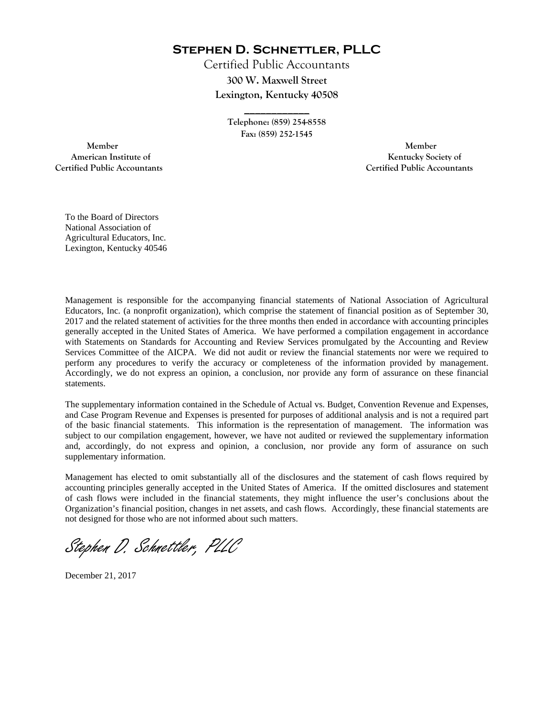**Stephen D. Schnettler, PLLC**

Certified Public Accountants **300 W. Maxwell Street Lexington, Kentucky 40508** 

> **Telephone: (859) 254-8558 Fax: (859) 252-1545**

**\_\_\_\_\_\_\_\_\_\_\_\_** 

 **Member Member Certified Public Accountants Certified Public Accountants** 

American Institute of **Kentucky Society of** 

To the Board of Directors National Association of Agricultural Educators, Inc. Lexington, Kentucky 40546

Management is responsible for the accompanying financial statements of National Association of Agricultural Educators, Inc. (a nonprofit organization), which comprise the statement of financial position as of September 30, 2017 and the related statement of activities for the three months then ended in accordance with accounting principles generally accepted in the United States of America. We have performed a compilation engagement in accordance with Statements on Standards for Accounting and Review Services promulgated by the Accounting and Review Services Committee of the AICPA. We did not audit or review the financial statements nor were we required to perform any procedures to verify the accuracy or completeness of the information provided by management. Accordingly, we do not express an opinion, a conclusion, nor provide any form of assurance on these financial statements.

The supplementary information contained in the Schedule of Actual vs. Budget, Convention Revenue and Expenses, and Case Program Revenue and Expenses is presented for purposes of additional analysis and is not a required part of the basic financial statements. This information is the representation of management. The information was subject to our compilation engagement, however, we have not audited or reviewed the supplementary information and, accordingly, do not express and opinion, a conclusion, nor provide any form of assurance on such supplementary information.

Management has elected to omit substantially all of the disclosures and the statement of cash flows required by accounting principles generally accepted in the United States of America. If the omitted disclosures and statement of cash flows were included in the financial statements, they might influence the user's conclusions about the Organization's financial position, changes in net assets, and cash flows. Accordingly, these financial statements are not designed for those who are not informed about such matters.

Stephen D. Schnettler, PLLC

December 21, 2017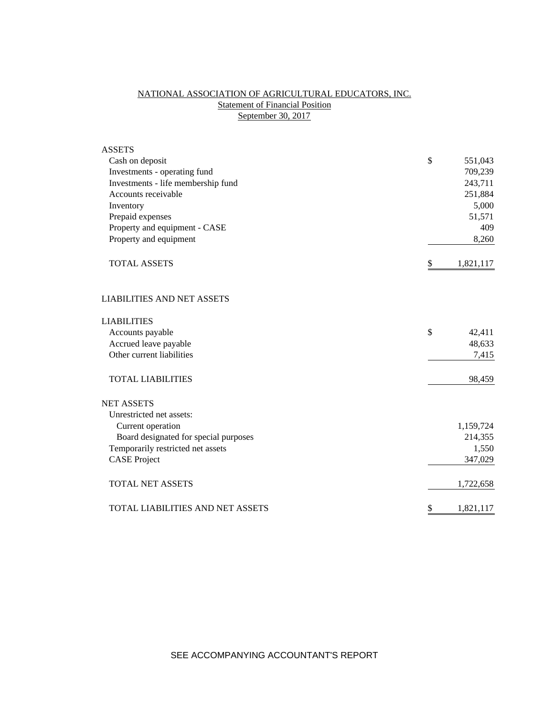# NATIONAL ASSOCIATION OF AGRICULTURAL EDUCATORS, INC. **Statement of Financial Position** September 30, 2017

| <b>ASSETS</b>                           |                 |
|-----------------------------------------|-----------------|
| Cash on deposit                         | \$<br>551,043   |
| Investments - operating fund            | 709,239         |
| Investments - life membership fund      | 243,711         |
| Accounts receivable                     | 251,884         |
| Inventory                               | 5,000           |
| Prepaid expenses                        | 51,571          |
| Property and equipment - CASE           | 409             |
| Property and equipment                  | 8,260           |
| <b>TOTAL ASSETS</b>                     | \$<br>1,821,117 |
| <b>LIABILITIES AND NET ASSETS</b>       |                 |
| <b>LIABILITIES</b>                      |                 |
| Accounts payable                        | \$<br>42,411    |
| Accrued leave payable                   | 48,633          |
| Other current liabilities               | 7,415           |
| <b>TOTAL LIABILITIES</b>                | 98,459          |
| <b>NET ASSETS</b>                       |                 |
| Unrestricted net assets:                |                 |
| Current operation                       | 1,159,724       |
| Board designated for special purposes   | 214,355         |
| Temporarily restricted net assets       | 1,550           |
| <b>CASE Project</b>                     | 347,029         |
| <b>TOTAL NET ASSETS</b>                 | 1,722,658       |
| <b>TOTAL LIABILITIES AND NET ASSETS</b> | \$<br>1,821,117 |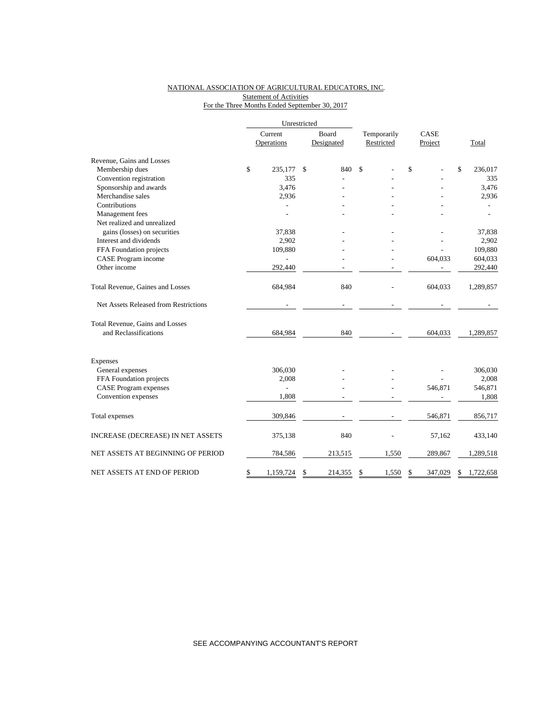### NATIONAL ASSOCIATION OF AGRICULTURAL EDUCATORS, INC. **Statement of Activities** For the Three Months Ended Septtember 30, 2017

|                                       |         | Unrestricted             |               |             |               |                 |
|---------------------------------------|---------|--------------------------|---------------|-------------|---------------|-----------------|
|                                       | Current |                          | Board         | Temporarily | CASE          |                 |
|                                       |         | Operations               | Designated    | Restricted  | Project       | Total           |
| Revenue, Gains and Losses             |         |                          |               |             |               |                 |
| Membership dues                       | \$      | 235,177                  | \$<br>840     | \$          | \$            | \$<br>236,017   |
| Convention registration               |         | 335                      |               |             |               | 335             |
| Sponsorship and awards                |         | 3,476                    |               |             |               | 3,476           |
| Merchandise sales                     |         | 2,936                    |               |             |               | 2,936           |
| Contributions                         |         |                          |               |             |               |                 |
| Management fees                       |         |                          |               |             |               | $\overline{a}$  |
| Net realized and unrealized           |         |                          |               |             |               |                 |
| gains (losses) on securities          |         | 37,838                   |               |             |               | 37,838          |
| Interest and dividends                |         | 2,902                    |               |             |               | 2,902           |
| FFA Foundation projects               |         | 109,880                  |               |             |               | 109,880         |
| CASE Program income                   |         |                          |               |             | 604,033       | 604,033         |
| Other income                          |         | 292,440                  |               |             |               | 292,440         |
| Total Revenue, Gaines and Losses      |         | 684,984                  | 840           |             | 604,033       | 1,289,857       |
| Net Assets Released from Restrictions |         |                          |               |             |               |                 |
| Total Revenue, Gains and Losses       |         |                          |               |             |               |                 |
| and Reclassifications                 |         | 684,984                  | 840           |             | 604,033       | 1,289,857       |
| <b>Expenses</b>                       |         |                          |               |             |               |                 |
| General expenses                      |         | 306,030                  |               |             |               | 306,030         |
| FFA Foundation projects               |         | 2,008                    |               |             |               | 2,008           |
| <b>CASE Program expenses</b>          |         | $\overline{\phantom{0}}$ |               |             | 546,871       | 546,871         |
| Convention expenses                   |         | 1,808                    |               |             |               | 1,808           |
|                                       |         |                          |               |             |               |                 |
| Total expenses                        |         | 309,846                  |               |             | 546,871       | 856,717         |
| INCREASE (DECREASE) IN NET ASSETS     |         | 375,138                  | 840           |             | 57,162        | 433,140         |
| NET ASSETS AT BEGINNING OF PERIOD     |         | 784,586                  | 213,515       | 1,550       | 289,867       | 1,289,518       |
| NET ASSETS AT END OF PERIOD           | \$      | 1,159,724                | \$<br>214,355 | \$<br>1,550 | \$<br>347,029 | \$<br>1,722,658 |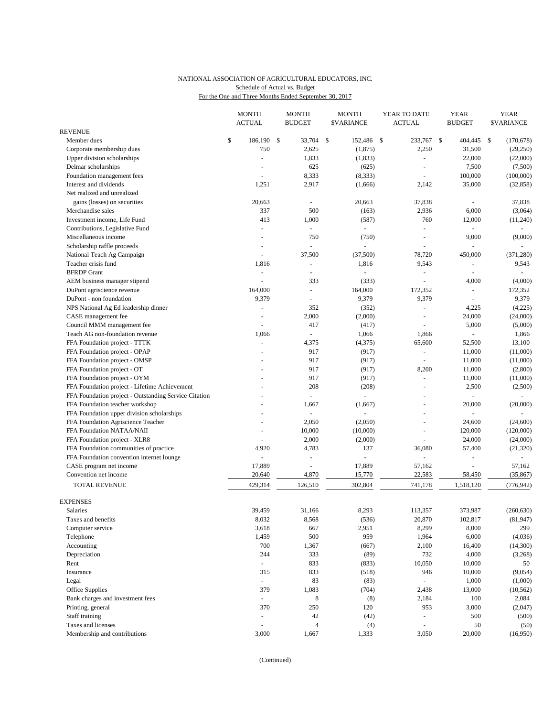## NATIONAL ASSOCIATION OF AGRICULTURAL EDUCATORS, INC. Schedule of Actual vs. Budget

For the One and Three Months Ended September 30, 2017

|                                                       | <b>MONTH</b><br><b>ACTUAL</b> | <b>MONTH</b><br><b>BUDGET</b> |     | <b>MONTH</b><br><b>\$VARIANCE</b> | YEAR TO DATE<br><b>ACTUAL</b> | <b>YEAR</b><br><b>BUDGET</b> |              | <b>YEAR</b><br><b>\$VARIANCE</b> |
|-------------------------------------------------------|-------------------------------|-------------------------------|-----|-----------------------------------|-------------------------------|------------------------------|--------------|----------------------------------|
| <b>REVENUE</b>                                        |                               |                               |     |                                   |                               |                              |              |                                  |
| Member dues                                           | \$<br>186,190 \$              | 33,704                        | -\$ | 152,486 \$                        | 233,767                       | \$<br>404,445                | $\mathbb{S}$ | (170, 678)                       |
| Corporate membership dues                             | 750                           | 2,625                         |     | (1, 875)                          | 2,250                         | 31,500                       |              | (29,250)                         |
| Upper division scholarships                           | ÷,                            | 1,833                         |     | (1, 833)                          | ä,                            | 22,000                       |              | (22,000)                         |
| Delmar scholarships                                   |                               | 625                           |     | (625)                             |                               | 7,500                        |              | (7,500)                          |
| Foundation management fees                            | $\sim$                        | 8,333                         |     | (8, 333)                          | $\blacksquare$                | 100,000                      |              | (100,000)                        |
| Interest and dividends                                | 1,251                         | 2,917                         |     | (1,666)                           | 2,142                         | 35,000                       |              | (32, 858)                        |
| Net realized and unrealized                           |                               |                               |     |                                   |                               |                              |              |                                  |
| gains (losses) on securities                          | 20,663                        | $\sim$                        |     | 20,663                            | 37,838                        |                              |              | 37,838                           |
| Merchandise sales                                     | 337                           | 500                           |     | (163)                             | 2,936                         | 6,000                        |              | (3,064)                          |
| Investment income, Life Fund                          | 413                           | 1,000                         |     | (587)                             | 760                           | 12,000                       |              | (11,240)                         |
| Contributions, Legislative Fund                       | $\overline{a}$                | $\mathbf{r}$                  |     | $\overline{a}$                    | ÷.                            |                              |              |                                  |
| Miscellaneous income                                  |                               | 750                           |     | (750)                             | L,                            | 9,000                        |              | (9,000)                          |
| Scholarship raffle proceeds                           |                               |                               |     | $\omega$                          |                               |                              |              |                                  |
| National Teach Ag Campaign                            | ÷,                            | 37,500                        |     | (37,500)                          | 78,720                        | 450,000                      |              | (371, 280)                       |
| Teacher crisis fund                                   | 1,816                         | $\overline{\phantom{a}}$      |     | 1,816                             | 9,543                         | $\equiv$                     |              | 9,543                            |
| <b>BFRDP</b> Grant                                    | $\overline{\phantom{a}}$      |                               |     |                                   | ÷,                            |                              |              |                                  |
| AEM business manager stipend                          | ÷,                            | 333                           |     | (333)                             | L.                            | 4,000                        |              | (4,000)                          |
| DuPont agriscience revenue                            | 164,000                       |                               |     | 164,000                           | 172,352                       | ä,                           |              | 172,352                          |
| DuPont - non foundation                               | 9,379                         | $\sim$                        |     | 9,379                             | 9,379                         | $\overline{a}$               |              | 9,379                            |
| NPS National Ag Ed leadership dinner                  | $\overline{\phantom{a}}$      | 352                           |     | (352)                             | $\blacksquare$                | 4,225                        |              | (4,225)                          |
| CASE management fee                                   | $\overline{a}$                | 2,000                         |     | (2,000)                           | $\blacksquare$                | 24,000                       |              | (24,000)                         |
| Council MMM management fee                            | ÷,                            | 417                           |     | (417)                             | ÷,                            | 5,000                        |              | (5,000)                          |
| Teach AG non-foundation revenue                       | 1,066                         |                               |     | 1,066                             | 1,866                         |                              |              | 1,866                            |
| FFA Foundation project - TTTK                         | ÷,                            | 4,375                         |     | (4,375)                           | 65,600                        | 52,500                       |              | 13,100                           |
| FFA Foundation project - OPAP                         |                               | 917                           |     | (917)                             | $\blacksquare$                | 11,000                       |              | (11,000)                         |
|                                                       |                               | 917                           |     |                                   | ÷.                            |                              |              |                                  |
| FFA Foundation project - OMSP                         |                               |                               |     | (917)                             |                               | 11,000                       |              | (11,000)<br>(2,800)              |
| FFA Foundation project - OT                           |                               | 917                           |     | (917)                             | 8,200                         | 11,000                       |              |                                  |
| FFA Foundation project - OYM                          |                               | 917                           |     | (917)                             | $\sim$                        | 11,000                       |              | (11,000)                         |
| FFA Foundation project - Lifetime Achievement         |                               | 208                           |     | (208)                             |                               | 2,500                        |              | (2,500)                          |
| FFA Foundation project - Outstanding Service Citation |                               | $\overline{\phantom{a}}$      |     | $\equiv$                          | $\blacksquare$                | ä,                           |              | $\sim$                           |
| FFA Foundation teacher workshop                       |                               | 1,667                         |     | (1,667)                           |                               | 20,000                       |              | (20,000)                         |
| FFA Foundation upper division scholarships            |                               | $\overline{\phantom{a}}$      |     | L.                                | ÷,                            | ÷,                           |              |                                  |
| FFA Foundation Agriscience Teacher                    |                               | 2,050                         |     | (2,050)                           | ÷,                            | 24,600                       |              | (24, 600)                        |
| FFA Foundation NATAA/NAII                             |                               | 10,000                        |     | (10,000)                          | ÷,                            | 120,000                      |              | (120,000)                        |
| FFA Foundation project - XLR8                         | ÷,                            | 2,000                         |     | (2,000)                           | L.                            | 24,000                       |              | (24,000)                         |
| FFA Foundation communities of practice                | 4,920                         | 4,783                         |     | 137                               | 36,080                        | 57,400                       |              | (21, 320)                        |
| FFA Foundation convention internet lounge             |                               | $\overline{\phantom{a}}$      |     |                                   | ÷,                            | ÷,                           |              |                                  |
| CASE program net income                               | 17,889                        | $\sim$                        |     | 17,889                            | 57,162                        |                              |              | 57,162                           |
| Convention net income                                 | 20,640                        | 4,870                         |     | 15,770                            | 22,583                        | 58,450                       |              | (35, 867)                        |
| <b>TOTAL REVENUE</b>                                  | 429,314                       | 126,510                       |     | 302,804                           | 741,178                       | 1,518,120                    |              | (776, 942)                       |
| <b>EXPENSES</b>                                       |                               |                               |     |                                   |                               |                              |              |                                  |
| Salaries                                              | 39,459                        | 31,166                        |     | 8,293                             | 113,357                       | 373,987                      |              | (260, 630)                       |
| Taxes and benefits                                    | 8,032                         | 8,568                         |     | (536)                             | 20,870                        | 102,817                      |              | (81, 947)                        |
| Computer service                                      | 3,618                         | 667                           |     | 2,951                             | 8,299                         | 8,000                        |              | 299                              |
| Telephone                                             | 1,459                         | 500                           |     | 959                               | 1,964                         | 6,000                        |              | (4,036)                          |
| Accounting                                            | 700                           | 1,367                         |     | (667)                             | 2,100                         | 16,400                       |              | (14,300)                         |
|                                                       | 244                           | 333                           |     | (89)                              | 732                           | 4,000                        |              |                                  |
| Depreciation                                          | $\omega_{\rm c}$              |                               |     |                                   |                               |                              |              | (3,268)                          |
| Rent                                                  |                               | 833                           |     | (833)                             | 10,050                        | 10,000                       |              | 50                               |
| Insurance                                             | 315                           | 833                           |     | (518)                             | 946                           | 10,000                       |              | (9,054)                          |
| Legal                                                 | $\omega$                      | 83                            |     | (83)                              |                               | 1,000                        |              | (1,000)                          |
| Office Supplies                                       | 379                           | 1,083                         |     | (704)                             | 2,438                         | 13,000                       |              | (10, 562)                        |
| Bank charges and investment fees                      | $\omega_{\rm c}$              | 8                             |     | (8)                               | 2,184                         | 100                          |              | 2,084                            |
| Printing, general                                     | 370                           | 250                           |     | 120                               | 953                           | 3,000                        |              | (2,047)                          |
| Staff training                                        | ÷,                            | $42\,$                        |     | (42)                              | ÷,                            | 500                          |              | (500)                            |
| Taxes and licenses                                    | ÷,                            | $\overline{4}$                |     | (4)                               | ä,                            | 50                           |              | (50)                             |
| Membership and contributions                          | 3,000                         | 1,667                         |     | 1,333                             | 3,050                         | 20,000                       |              | (16,950)                         |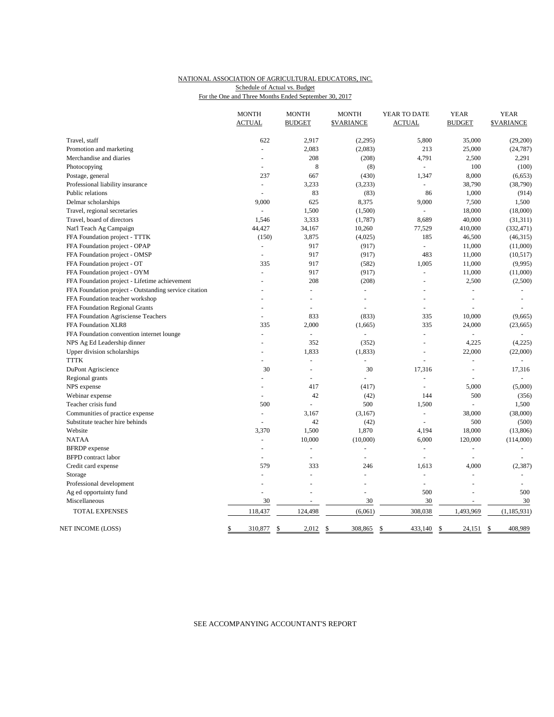### NATIONAL ASSOCIATION OF AGRICULTURAL EDUCATORS, INC. For the One and Three Months Ended September 30, 2017 Schedule of Actual vs. Budget

|                                                       | <b>MONTH</b><br><b>ACTUAL</b> | <b>MONTH</b><br><b>BUDGET</b> | <b>MONTH</b><br><b><i>SVARIANCE</i></b> | YEAR TO DATE<br><b>ACTUAL</b> | <b>YEAR</b><br><b>BUDGET</b> | <b>YEAR</b><br><b>\$VARIANCE</b> |
|-------------------------------------------------------|-------------------------------|-------------------------------|-----------------------------------------|-------------------------------|------------------------------|----------------------------------|
|                                                       |                               |                               |                                         |                               |                              |                                  |
| Travel, staff                                         | 622                           | 2,917                         | (2,295)                                 | 5,800                         | 35,000                       | (29,200)                         |
| Promotion and marketing                               |                               | 2,083                         | (2,083)                                 | 213                           | 25,000                       | (24, 787)                        |
| Merchandise and diaries                               |                               | 208                           | (208)                                   | 4,791                         | 2,500                        | 2,291                            |
| Photocopying                                          | $\overline{a}$                | 8                             | (8)                                     | $\omega$                      | 100                          | (100)                            |
| Postage, general                                      | 237                           | 667                           | (430)                                   | 1,347                         | 8,000                        | (6,653)                          |
| Professional liability insurance                      | $\omega$                      | 3,233                         | (3,233)                                 | L.                            | 38,790                       | (38,790)                         |
| Public relations                                      |                               | 83                            | (83)                                    | 86                            | 1,000                        | (914)                            |
| Delmar scholarships                                   | 9,000                         | 625                           | 8,375                                   | 9,000                         | 7,500                        | 1,500                            |
| Travel, regional secretaries                          | $\overline{a}$                | 1,500                         | (1,500)                                 | ÷                             | 18,000                       | (18,000)                         |
| Travel, board of directors                            | 1,546                         | 3,333                         | (1,787)                                 | 8,689                         | 40,000                       | (31,311)                         |
| Nat'l Teach Ag Campaign                               | 44,427                        | 34,167                        | 10,260                                  | 77,529                        | 410,000                      | (332, 471)                       |
| FFA Foundation project - TTTK                         | (150)                         | 3,875                         | (4,025)                                 | 185                           | 46,500                       | (46,315)                         |
| FFA Foundation project - OPAP                         | L.                            | 917                           | (917)                                   | $\overline{a}$                | 11,000                       | (11,000)                         |
| FFA Foundation project - OMSP                         | $\overline{a}$                | 917                           | (917)                                   | 483                           | 11,000                       | (10, 517)                        |
| FFA Foundation project - OT                           | 335                           | 917                           | (582)                                   | 1,005                         | 11,000                       | (9,995)                          |
| FFA Foundation project - OYM                          | ÷,                            | 917                           | (917)                                   | ÷,                            | 11,000                       | (11,000)                         |
| FFA Foundation project - Lifetime achievement         |                               | 208                           | (208)                                   | L.                            | 2,500                        | (2,500)                          |
| FFA Foundation project - Outstanding service citation |                               | $\overline{a}$                | ÷                                       |                               |                              |                                  |
| FFA Foundation teacher workshop                       |                               | L.                            | ÷                                       | ÷.                            | $\overline{a}$               | ÷.                               |
| FFA Foundation Regional Grants                        |                               | L,                            | L,                                      | L.                            |                              |                                  |
| FFA Foundation Agrisciense Teachers                   |                               | 833                           | (833)                                   | 335                           | 10,000                       | (9,665)                          |
| FFA Foundation XLR8                                   | 335                           | 2,000                         | (1,665)                                 | 335                           | 24,000                       | (23, 665)                        |
| FFA Foundation convention internet lounge             | $\overline{a}$                | $\overline{a}$                | $\overline{a}$                          | $\overline{a}$                |                              |                                  |
| NPS Ag Ed Leadership dinner                           | L,                            | 352                           | (352)                                   | $\overline{a}$                | 4,225                        | (4,225)                          |
| Upper division scholarships                           | ÷                             | 1,833                         | (1, 833)                                | $\sim$                        | 22,000                       | (22,000)                         |
| <b>TTTK</b>                                           |                               | ÷,                            | ÷,                                      |                               | ÷,                           | $\bar{a}$                        |
| DuPont Agriscience                                    | 30                            | L.                            | 30                                      | 17,316                        | L.                           | 17,316                           |
| Regional grants                                       |                               | $\overline{a}$                | $\overline{a}$                          | ÷,                            |                              |                                  |
| NPS expense                                           |                               | 417                           | (417)                                   | $\overline{a}$                | 5,000                        | (5,000)                          |
| Webinar expense                                       | $\overline{a}$                | 42                            | (42)                                    | 144                           | 500                          | (356)                            |
| Teacher crisis fund                                   | 500                           |                               | 500                                     | 1,500                         |                              | 1,500                            |
| Communities of practice expense                       | L.                            | 3,167                         | (3,167)                                 | $\overline{a}$                | 38,000                       | (38,000)                         |
| Substitute teacher hire behinds                       |                               | 42                            | (42)                                    | $\sim$                        | 500                          | (500)                            |
| Website                                               | 3,370                         | 1,500                         | 1,870                                   | 4,194                         | 18,000                       | (13,806)                         |
| <b>NATAA</b>                                          | ä,                            | 10,000                        | (10,000)                                | 6,000                         | 120,000                      | (114,000)                        |
| <b>BFRDP</b> expense                                  |                               | L.                            | L.                                      | ÷,                            | ä,                           |                                  |
| <b>BFPD</b> contract labor                            | ÷                             | $\sim$                        | $\blacksquare$                          | ÷,                            | L.                           | $\sim$                           |
| Credit card expense                                   | 579                           | 333                           | 246                                     | 1,613                         | 4,000                        | (2, 387)                         |
| Storage                                               | ÷,                            | $\overline{a}$                | ÷,                                      | $\sim$                        | $\overline{\phantom{a}}$     |                                  |
| Professional development                              |                               | $\overline{a}$                | L.                                      | L.                            |                              |                                  |
| Ag ed opportuinty fund                                |                               |                               | L,                                      | 500                           |                              | 500                              |
| Miscellaneous                                         | 30                            |                               | 30                                      | 30                            |                              | 30                               |
| TOTAL EXPENSES                                        | 118,437                       | 124,498                       | (6,061)                                 | 308,038                       | 1,493,969                    | (1, 185, 931)                    |
|                                                       |                               |                               |                                         |                               |                              |                                  |
| NET INCOME (LOSS)                                     | \$<br>310,877                 | \$<br>2,012                   | \$<br>308,865                           | \$<br>433,140                 | \$<br>24,151 \$              | 408,989                          |

SEE ACCOMPANYING ACCOUNTANT'S REPORT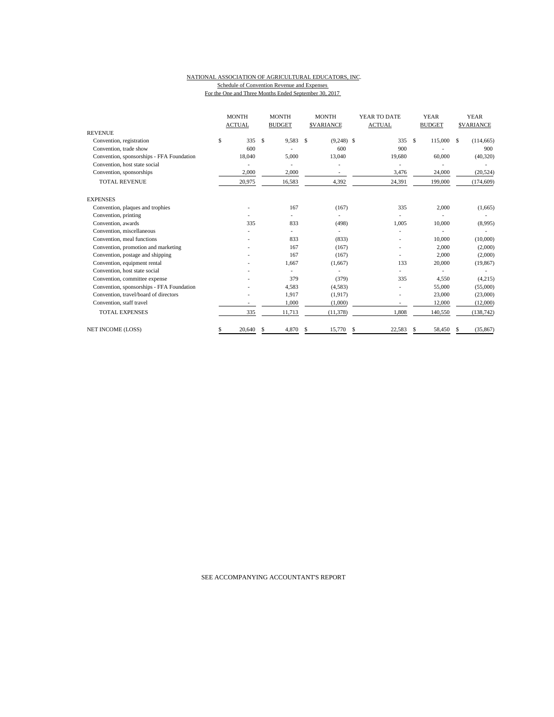#### NATIONAL ASSOCIATION OF AGRICULTURAL EDUCATORS, INC. Schedule of Convention Revenue and Expenses For the One and Three Months Ended September 30, 2017

|                                           |    | <b>MONTH</b>  |    | <b>MONTH</b>  | <b>MONTH</b>       | YEAR TO DATE  |               | <b>YEAR</b>   |    | <b>YEAR</b>      |
|-------------------------------------------|----|---------------|----|---------------|--------------------|---------------|---------------|---------------|----|------------------|
|                                           |    | <b>ACTUAL</b> |    | <b>BUDGET</b> | <b>\$VARIANCE</b>  | <b>ACTUAL</b> |               | <b>BUDGET</b> |    | <b>SVARIANCE</b> |
| <b>REVENUE</b>                            |    |               |    |               |                    |               |               |               |    |                  |
| Convention, registration                  | \$ | 335           | \$ | 9,583         | \$<br>$(9,248)$ \$ | 335           | $\mathcal{S}$ | 115,000       | S. | (114, 665)       |
| Convention, trade show                    |    | 600           |    |               | 600                | 900           |               |               |    | 900              |
| Convention, sponsorships - FFA Foundation |    | 18,040        |    | 5,000         | 13,040             | 19,680        |               | 60,000        |    | (40, 320)        |
| Convention, host state social             |    |               |    |               |                    |               |               |               |    |                  |
| Convention, sponsorships                  |    | 2,000         |    | 2,000         |                    | 3,476         |               | 24,000        |    | (20, 524)        |
| <b>TOTAL REVENUE</b>                      |    | 20,975        |    | 16,583        | 4,392              | 24,391        |               | 199,000       |    | (174, 609)       |
| <b>EXPENSES</b>                           |    |               |    |               |                    |               |               |               |    |                  |
| Convention, plaques and trophies          |    |               |    | 167           | (167)              | 335           |               | 2,000         |    | (1,665)          |
| Convention, printing                      |    |               |    |               |                    |               |               |               |    |                  |
| Convention, awards                        |    | 335           |    | 833           | (498)              | 1,005         |               | 10,000        |    | (8,995)          |
| Convention, miscellaneous                 |    |               |    |               |                    |               |               |               |    |                  |
| Convention, meal functions                |    |               |    | 833           | (833)              |               |               | 10,000        |    | (10,000)         |
| Convention, promotion and marketing       |    |               |    | 167           | (167)              |               |               | 2,000         |    | (2,000)          |
| Convention, postage and shipping          |    |               |    | 167           | (167)              |               |               | 2,000         |    | (2,000)          |
| Convention, equipment rental              |    |               |    | 1,667         | (1,667)            | 133           |               | 20,000        |    | (19, 867)        |
| Convention, host state social             |    |               |    |               |                    |               |               |               |    |                  |
| Convention, committee expense             |    |               |    | 379           | (379)              | 335           |               | 4,550         |    | (4,215)          |
| Convention, sponsorships - FFA Foundation |    |               |    | 4,583         | (4,583)            |               |               | 55,000        |    | (55,000)         |
| Convention, travel/board of directors     |    |               |    | 1,917         | (1,917)            |               |               | 23,000        |    | (23,000)         |
| Convention, staff travel                  |    |               |    | 1,000         | (1,000)            | ٠             |               | 12,000        |    | (12,000)         |
| <b>TOTAL EXPENSES</b>                     |    | 335           |    | 11,713        | (11, 378)          | 1,808         |               | 140,550       |    | (138, 742)       |
| <b>NET INCOME (LOSS)</b>                  | S  | 20,640        | S. | 4,870         | \$<br>15,770       | \$<br>22,583  | \$            | 58,450        | S  | (35, 867)        |

SEE ACCOMPANYING ACCOUNTANT'S REPORT